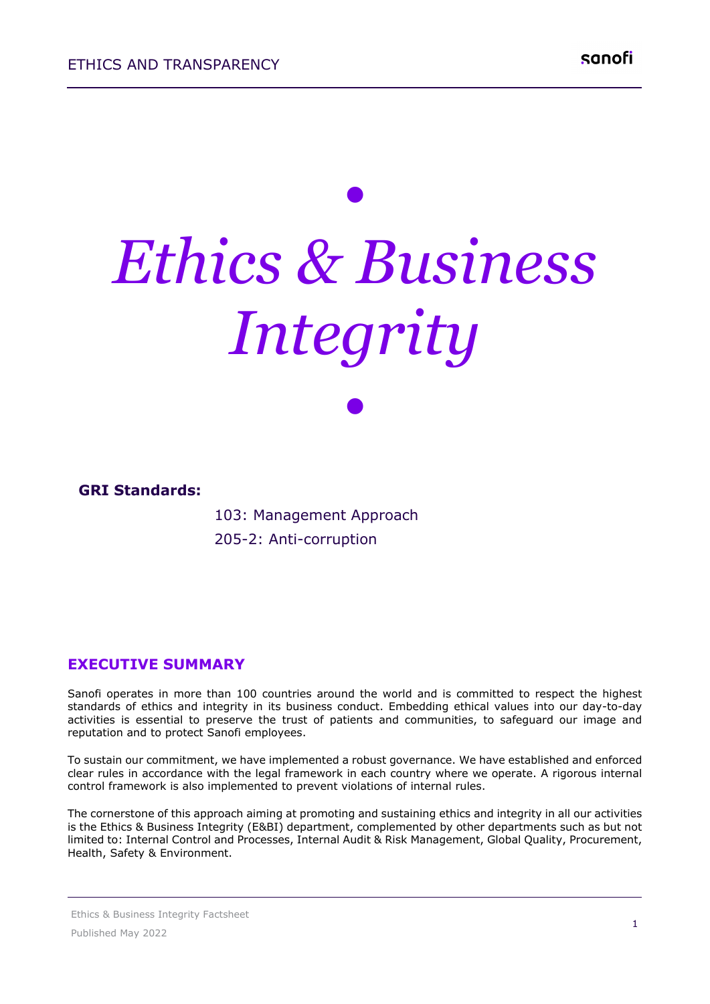# *• Ethics & Business Integrity*

*•*



 103: Management Approach 205-2: Anti-corruption

#### **EXECUTIVE SUMMARY**

Sanofi operates in more than 100 countries around the world and is committed to respect the highest standards of ethics and integrity in its business conduct. Embedding ethical values into our day-to-day activities is essential to preserve the trust of patients and communities, to safeguard our image and reputation and to protect Sanofi employees.

To sustain our commitment, we have implemented a robust governance. We have established and enforced clear rules in accordance with the legal framework in each country where we operate. A rigorous internal control framework is also implemented to prevent violations of internal rules.

The cornerstone of this approach aiming at promoting and sustaining ethics and integrity in all our activities is the Ethics & Business Integrity (E&BI) department, complemented by other departments such as but not limited to: Internal Control and Processes, Internal Audit & Risk Management, Global Quality, Procurement, Health, Safety & Environment.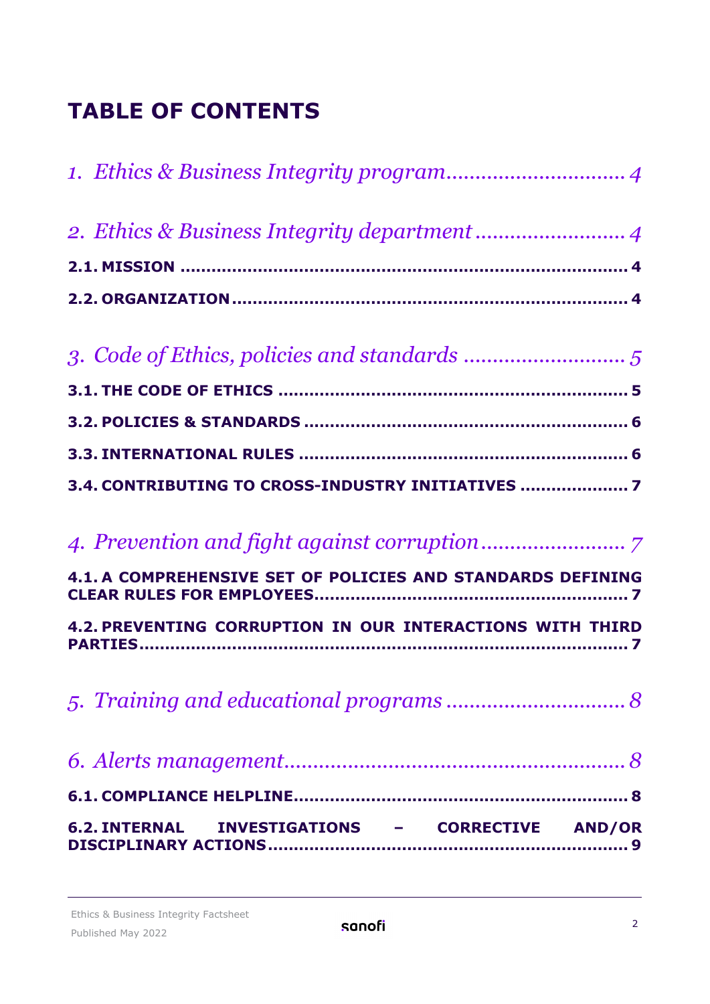## **TABLE OF CONTENTS**

| 3.4. CONTRIBUTING TO CROSS-INDUSTRY INITIATIVES             |
|-------------------------------------------------------------|
|                                                             |
| 4.1. A COMPREHENSIVE SET OF POLICIES AND STANDARDS DEFINING |
| 4.2. PREVENTING CORRUPTION IN OUR INTERACTIONS WITH THIRD   |
|                                                             |
|                                                             |
|                                                             |
| 6.2. INTERNAL INVESTIGATIONS - CORRECTIVE AND/OR            |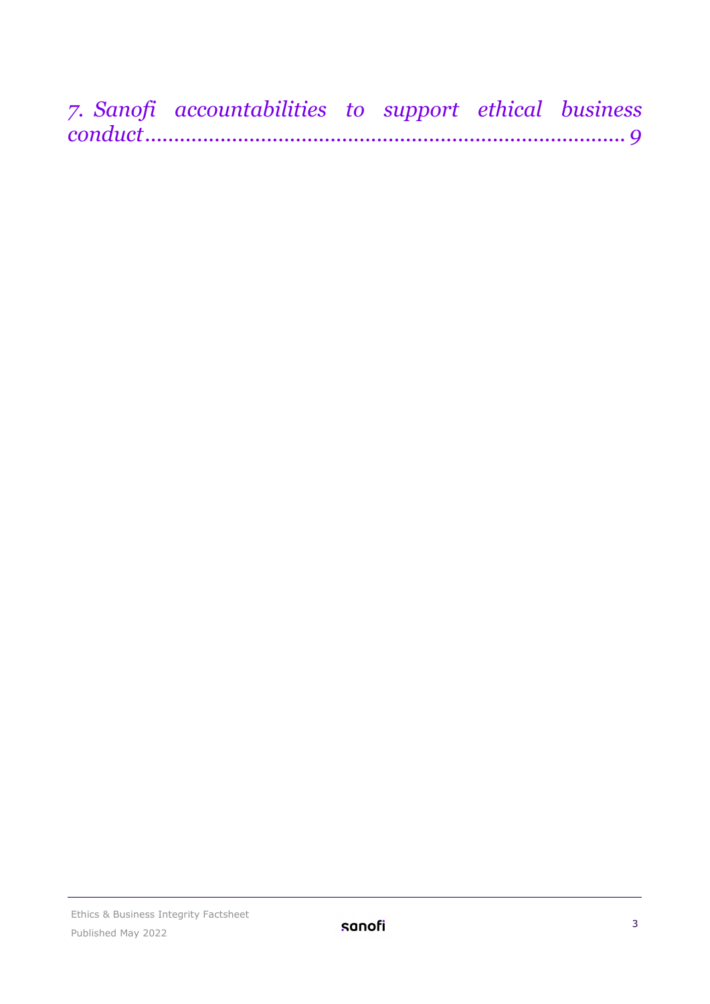| 7. Sanofi accountabilities to support ethical business |  |  |
|--------------------------------------------------------|--|--|
|                                                        |  |  |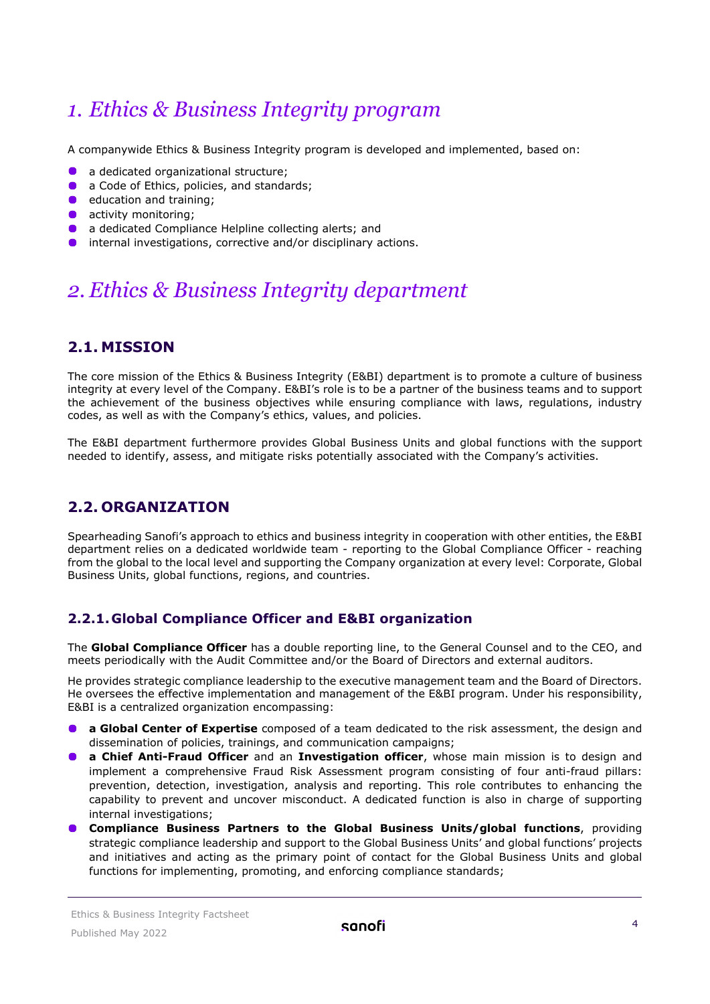## <span id="page-3-0"></span>*1. Ethics & Business Integrity program*

A companywide Ethics & Business Integrity program is developed and implemented, based on:

- **a** dedicated organizational structure;
- a Code of Ethics, policies, and standards;
- $\bullet$  education and training;
- **activity monitoring;**
- **a** a dedicated Compliance Helpline collecting alerts; and
- **O** internal investigations, corrective and/or disciplinary actions.

## <span id="page-3-1"></span>*2. Ethics & Business Integrity department*

#### <span id="page-3-2"></span>**2.1. MISSION**

The core mission of the Ethics & Business Integrity (E&BI) department is to promote a culture of business integrity at every level of the Company. E&BI's role is to be a partner of the business teams and to support the achievement of the business objectives while ensuring compliance with laws, regulations, industry codes, as well as with the Company's ethics, values, and policies.

The E&BI department furthermore provides Global Business Units and global functions with the support needed to identify, assess, and mitigate risks potentially associated with the Company's activities.

#### <span id="page-3-3"></span>**2.2. ORGANIZATION**

Spearheading Sanofi's approach to ethics and business integrity in cooperation with other entities, the E&BI department relies on a dedicated worldwide team - reporting to the Global Compliance Officer - reaching from the global to the local level and supporting the Company organization at every level: Corporate, Global Business Units, global functions, regions, and countries.

#### **2.2.1.Global Compliance Officer and E&BI organization**

The **Global Compliance Officer** has a double reporting line, to the General Counsel and to the CEO, and meets periodically with the Audit Committee and/or the Board of Directors and external auditors.

He provides strategic compliance leadership to the executive management team and the Board of Directors. He oversees the effective implementation and management of the E&BI program. Under his responsibility, E&BI is a centralized organization encompassing:

- **a Global Center of Expertise** composed of a team dedicated to the risk assessment, the design and dissemination of policies, trainings, and communication campaigns;
- **a Chief Anti-Fraud Officer** and an **Investigation officer**, whose main mission is to design and implement a comprehensive Fraud Risk Assessment program consisting of four anti-fraud pillars: prevention, detection, investigation, analysis and reporting. This role contributes to enhancing the capability to prevent and uncover misconduct. A dedicated function is also in charge of supporting internal investigations;
- **Compliance Business Partners to the Global Business Units/global functions**, providing strategic compliance leadership and support to the Global Business Units' and global functions' projects and initiatives and acting as the primary point of contact for the Global Business Units and global functions for implementing, promoting, and enforcing compliance standards;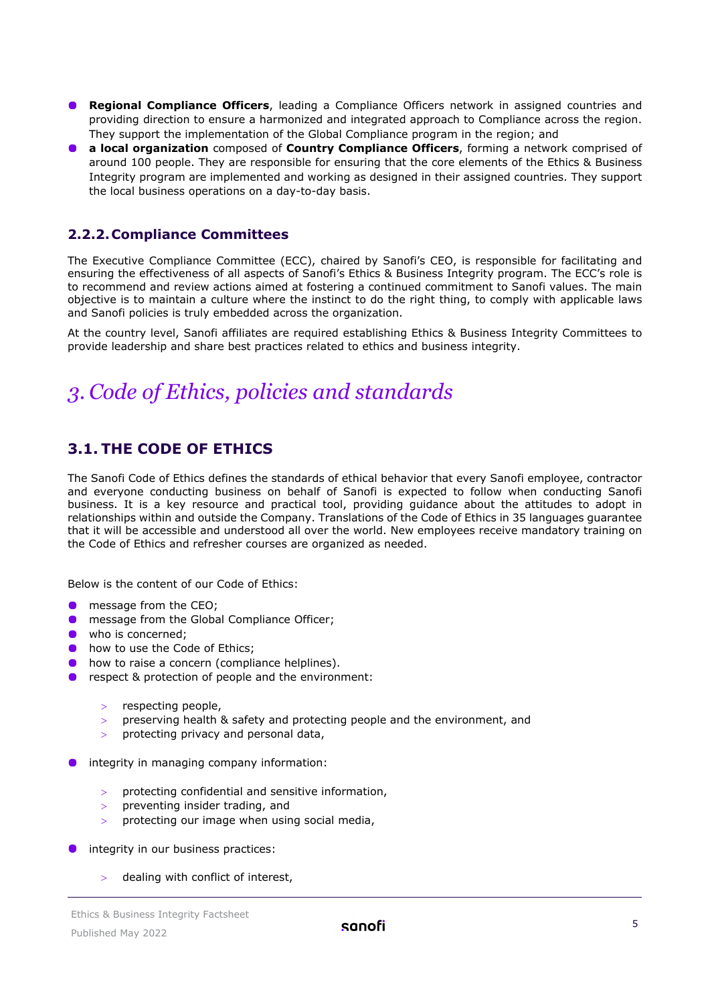- **Regional Compliance Officers**, leading a Compliance Officers network in assigned countries and providing direction to ensure a harmonized and integrated approach to Compliance across the region. They support the implementation of the Global Compliance program in the region; and
- **a local organization** composed of **Country Compliance Officers**, forming a network comprised of around 100 people. They are responsible for ensuring that the core elements of the Ethics & Business Integrity program are implemented and working as designed in their assigned countries. They support the local business operations on a day-to-day basis.

#### **2.2.2.Compliance Committees**

The Executive Compliance Committee (ECC), chaired by Sanofi's CEO, is responsible for facilitating and ensuring the effectiveness of all aspects of Sanofi's Ethics & Business Integrity program. The ECC's role is to recommend and review actions aimed at fostering a continued commitment to Sanofi values. The main objective is to maintain a culture where the instinct to do the right thing, to comply with applicable laws and Sanofi policies is truly embedded across the organization.

At the country level, Sanofi affiliates are required establishing Ethics & Business Integrity Committees to provide leadership and share best practices related to ethics and business integrity.

## <span id="page-4-0"></span>*3. Code of Ethics, policies and standards*

#### <span id="page-4-1"></span>**3.1. THE CODE OF ETHICS**

The Sanofi Code of Ethics defines the standards of ethical behavior that every Sanofi employee, contractor and everyone conducting business on behalf of Sanofi is expected to follow when conducting Sanofi business. It is a key resource and practical tool, providing guidance about the attitudes to adopt in relationships within and outside the Company. Translations of the Code of Ethics in 35 languages guarantee that it will be accessible and understood all over the world. New employees receive mandatory training on the Code of Ethics and refresher courses are organized as needed.

Below is the content of our Code of Ethics:

- message from the CEO;
- **O** message from the Global Compliance Officer;
- who is concerned:
- **.** how to use the Code of Ethics;
- **o** how to raise a concern (compliance helplines).
- **•** respect & protection of people and the environment:
	- > respecting people,
	- > preserving health & safety and protecting people and the environment, and
	- protecting privacy and personal data,
- integrity in managing company information:
	- > protecting confidential and sensitive information,
	- preventing insider trading, and
	- protecting our image when using social media,
- integrity in our business practices:
	- > dealing with conflict of interest,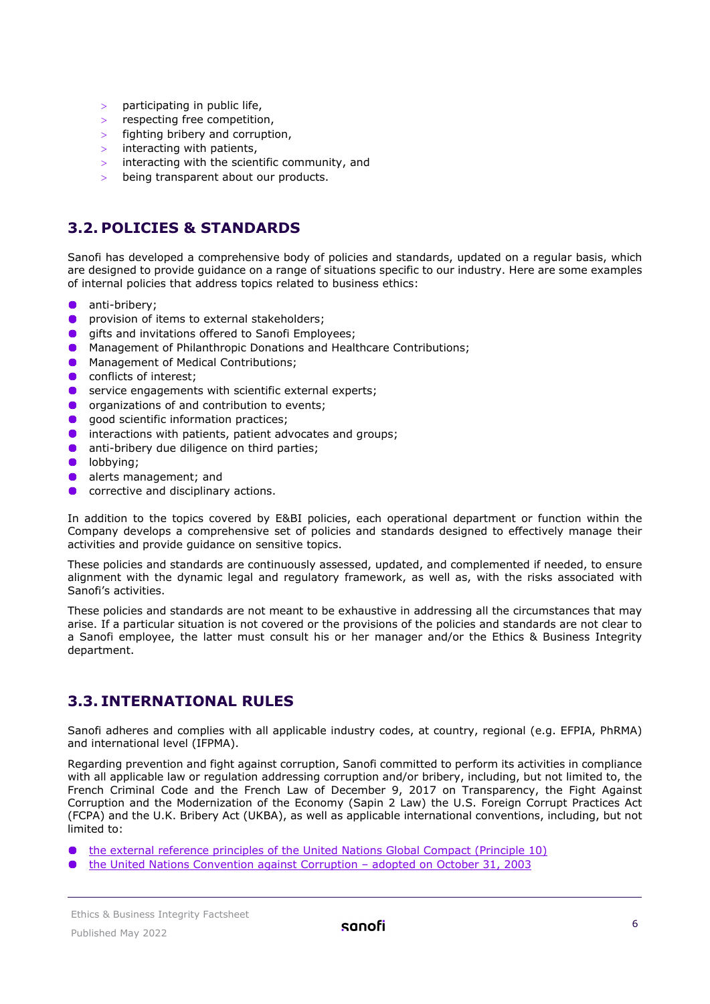- participating in public life,
- respecting free competition,
- > fighting bribery and corruption,
- > interacting with patients,
- > interacting with the scientific community, and
- being transparent about our products.

#### <span id="page-5-0"></span>**3.2. POLICIES & STANDARDS**

Sanofi has developed a comprehensive body of policies and standards, updated on a regular basis, which are designed to provide guidance on a range of situations specific to our industry. Here are some examples of internal policies that address topics related to business ethics:

- anti-bribery;  $\bullet$
- **O** provision of items to external stakeholders;
- $\bullet$ gifts and invitations offered to Sanofi Employees;
- $\bullet$ Management of Philanthropic Donations and Healthcare Contributions;
- Management of Medical Contributions;
- $\bullet$ conflicts of interest;
- $\bullet$ service engagements with scientific external experts;
- **O** organizations of and contribution to events;
- **qood scientific information practices;**
- $\bullet$ interactions with patients, patient advocates and groups;
- $\bullet$ anti-bribery due diligence on third parties;
- $\bullet$ lobbying;
- $\bullet$ alerts management; and
- $\bullet$ corrective and disciplinary actions.

In addition to the topics covered by E&BI policies, each operational department or function within the Company develops a comprehensive set of policies and standards designed to effectively manage their activities and provide guidance on sensitive topics.

These policies and standards are continuously assessed, updated, and complemented if needed, to ensure alignment with the dynamic legal and regulatory framework, as well as, with the risks associated with Sanofi's activities.

These policies and standards are not meant to be exhaustive in addressing all the circumstances that may arise. If a particular situation is not covered or the provisions of the policies and standards are not clear to a Sanofi employee, the latter must consult his or her manager and/or the Ethics & Business Integrity department.

#### <span id="page-5-1"></span>**3.3. INTERNATIONAL RULES**

Sanofi adheres and complies with all applicable industry codes, at country, regional (e.g. EFPIA, PhRMA) and international level (IFPMA).

Regarding prevention and fight against corruption, Sanofi committed to perform its activities in compliance with all applicable law or regulation addressing corruption and/or bribery, including, but not limited to, the French Criminal Code and the French Law of December 9, 2017 on Transparency, the Fight Against Corruption and the Modernization of the Economy (Sapin 2 Law) the U.S. Foreign Corrupt Practices Act (FCPA) and the U.K. Bribery Act (UKBA), as well as applicable international conventions, including, but not limited to:

[the external reference principles of the United Nations Global Compact \(Principle 10\)](https://www.unglobalcompact.org/what-is-gc/mission/principles/principle-10)

 $\bullet$ [the United Nations Convention against Corruption –](http://www.unodc.org/unodc/en/treaties/CAC/index.html) adopted on October 31, 2003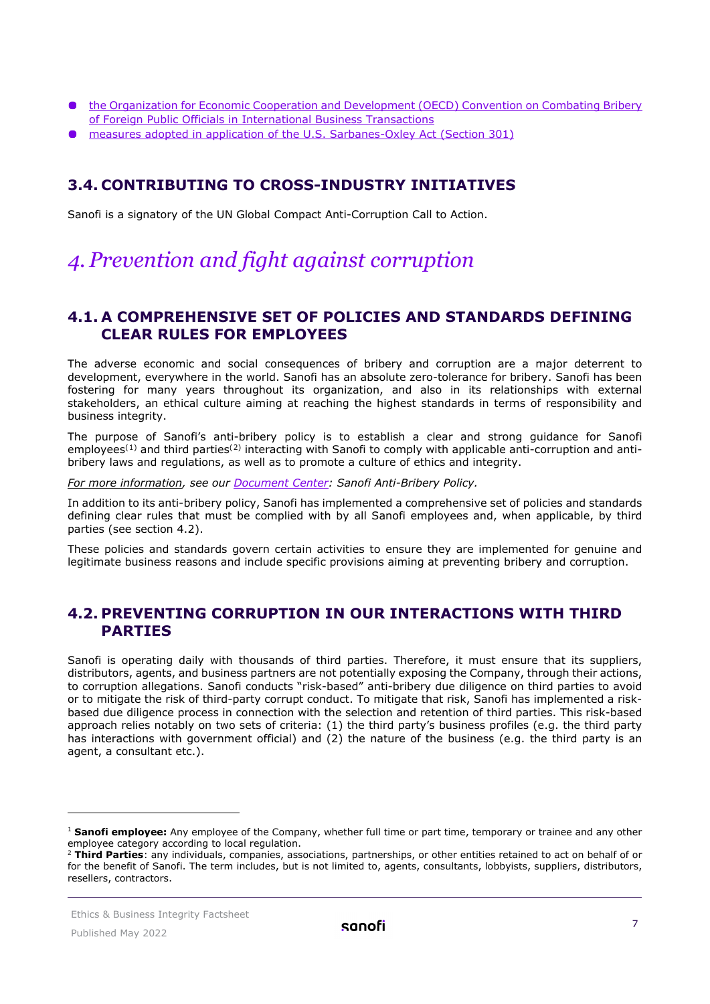- [the Organization for Economic Cooperation and Development \(OECD\) Convention on Combating Bribery](http://www.oecd.org/corruption/oecdantibriberyconvention.htm)  [of Foreign Public Officials in International Business Transactions](http://www.oecd.org/corruption/oecdantibriberyconvention.htm)
- [measures adopted in application of the U.S. Sarbanes-Oxley Act \(Section 301\)](http://www.sec.gov/about/laws/soa2002.pdf)

#### <span id="page-6-0"></span>**3.4. CONTRIBUTING TO CROSS-INDUSTRY INITIATIVES**

Sanofi is a signatory of the UN Global Compact Anti-Corruption Call to Action.

## <span id="page-6-1"></span>*4. Prevention and fight against corruption*

#### <span id="page-6-2"></span>**4.1. A COMPREHENSIVE SET OF POLICIES AND STANDARDS DEFINING CLEAR RULES FOR EMPLOYEES**

The adverse economic and social consequences of bribery and corruption are a major deterrent to development, everywhere in the world. Sanofi has an absolute zero-tolerance for bribery. Sanofi has been fostering for many years throughout its organization, and also in its relationships with external stakeholders, an ethical culture aiming at reaching the highest standards in terms of responsibility and business integrity.

The purpose of Sanofi's anti-bribery policy is to establish a clear and strong guidance for Sanofi employees<sup>([1](#page-7-3))</sup> and third parties<sup>([2\)](#page-7-4)</sup> interacting with Sanofi to comply with applicable anti-corruption and antibribery laws and regulations, as well as to promote a culture of ethics and integrity.

*For more information, see our [Document Center:](https://www.sanofi.com/en/our-responsibility/documents-center/) Sanofi Anti-Bribery Policy.*

In addition to its anti-bribery policy, Sanofi has implemented a comprehensive set of policies and standards defining clear rules that must be complied with by all Sanofi employees and, when applicable, by third parties (see section 4.2).

These policies and standards govern certain activities to ensure they are implemented for genuine and legitimate business reasons and include specific provisions aiming at preventing bribery and corruption.

#### <span id="page-6-3"></span>**4.2. PREVENTING CORRUPTION IN OUR INTERACTIONS WITH THIRD PARTIES**

Sanofi is operating daily with thousands of third parties. Therefore, it must ensure that its suppliers, distributors, agents, and business partners are not potentially exposing the Company, through their actions, to corruption allegations. Sanofi conducts "risk-based" anti-bribery due diligence on third parties to avoid or to mitigate the risk of third-party corrupt conduct. To mitigate that risk, Sanofi has implemented a riskbased due diligence process in connection with the selection and retention of third parties. This risk-based approach relies notably on two sets of criteria: (1) the third party's business profiles (e.g. the third party has interactions with government official) and (2) the nature of the business (e.g. the third party is an agent, a consultant etc.).

<sup>1</sup> **Sanofi employee:** Any employee of the Company, whether full time or part time, temporary or trainee and any other employee category according to local regulation.

<sup>2</sup> **Third Parties**: any individuals, companies, associations, partnerships, or other entities retained to act on behalf of or for the benefit of Sanofi. The term includes, but is not limited to, agents, consultants, lobbyists, suppliers, distributors, resellers, contractors.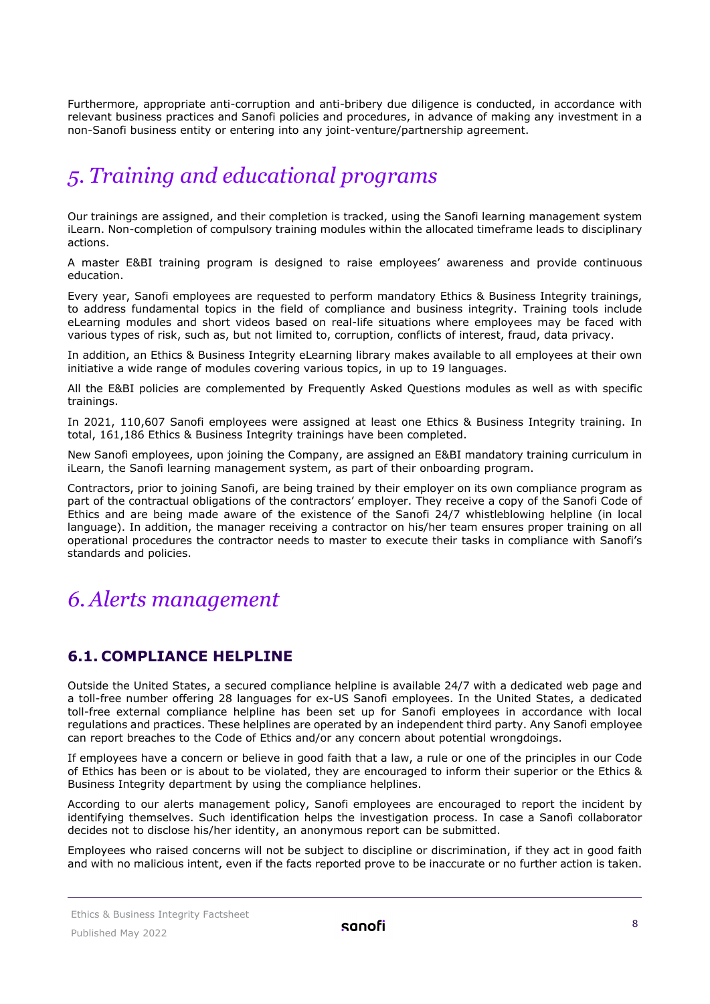Furthermore, appropriate anti-corruption and anti-bribery due diligence is conducted, in accordance with relevant business practices and Sanofi policies and procedures, in advance of making any investment in a non-Sanofi business entity or entering into any joint-venture/partnership agreement.

## <span id="page-7-0"></span>*5. Training and educational programs*

Our trainings are assigned, and their completion is tracked, using the Sanofi learning management system iLearn. Non-completion of compulsory training modules within the allocated timeframe leads to disciplinary actions.

A master E&BI training program is designed to raise employees' awareness and provide continuous education.

Every year, Sanofi employees are requested to perform mandatory Ethics & Business Integrity trainings, to address fundamental topics in the field of compliance and business integrity. Training tools include eLearning modules and short videos based on real-life situations where employees may be faced with various types of risk, such as, but not limited to, corruption, conflicts of interest, fraud, data privacy.

In addition, an Ethics & Business Integrity eLearning library makes available to all employees at their own initiative a wide range of modules covering various topics, in up to 19 languages.

All the E&BI policies are complemented by Frequently Asked Questions modules as well as with specific trainings.

In 2021, 110,607 Sanofi employees were assigned at least one Ethics & Business Integrity training. In total, 161,186 Ethics & Business Integrity trainings have been completed.

New Sanofi employees, upon joining the Company, are assigned an E&BI mandatory training curriculum in iLearn, the Sanofi learning management system, as part of their onboarding program.

Contractors, prior to joining Sanofi, are being trained by their employer on its own compliance program as part of the contractual obligations of the contractors' employer. They receive a copy of the Sanofi Code of Ethics and are being made aware of the existence of the Sanofi 24/7 whistleblowing helpline (in local language). In addition, the manager receiving a contractor on his/her team ensures proper training on all operational procedures the contractor needs to master to execute their tasks in compliance with Sanofi's standards and policies.

### <span id="page-7-1"></span>*6.Alerts management*

#### <span id="page-7-2"></span>**6.1. COMPLIANCE HELPLINE**

Outside the United States, a secured compliance helpline is available 24/7 with a dedicated web page and a toll-free number offering 28 languages for ex-US Sanofi employees. In the United States, a dedicated toll-free external compliance helpline has been set up for Sanofi employees in accordance with local regulations and practices. These helplines are operated by an independent third party. Any Sanofi employee can report breaches to the Code of Ethics and/or any concern about potential wrongdoings.

If employees have a concern or believe in good faith that a law, a rule or one of the principles in our Code of Ethics has been or is about to be violated, they are encouraged to inform their superior or the Ethics & Business Integrity department by using the compliance helplines.

According to our alerts management policy, Sanofi employees are encouraged to report the incident by identifying themselves. Such identification helps the investigation process. In case a Sanofi collaborator decides not to disclose his/her identity, an anonymous report can be submitted.

<span id="page-7-4"></span><span id="page-7-3"></span>Employees who raised concerns will not be subject to discipline or discrimination, if they act in good faith and with no malicious intent, even if the facts reported prove to be inaccurate or no further action is taken.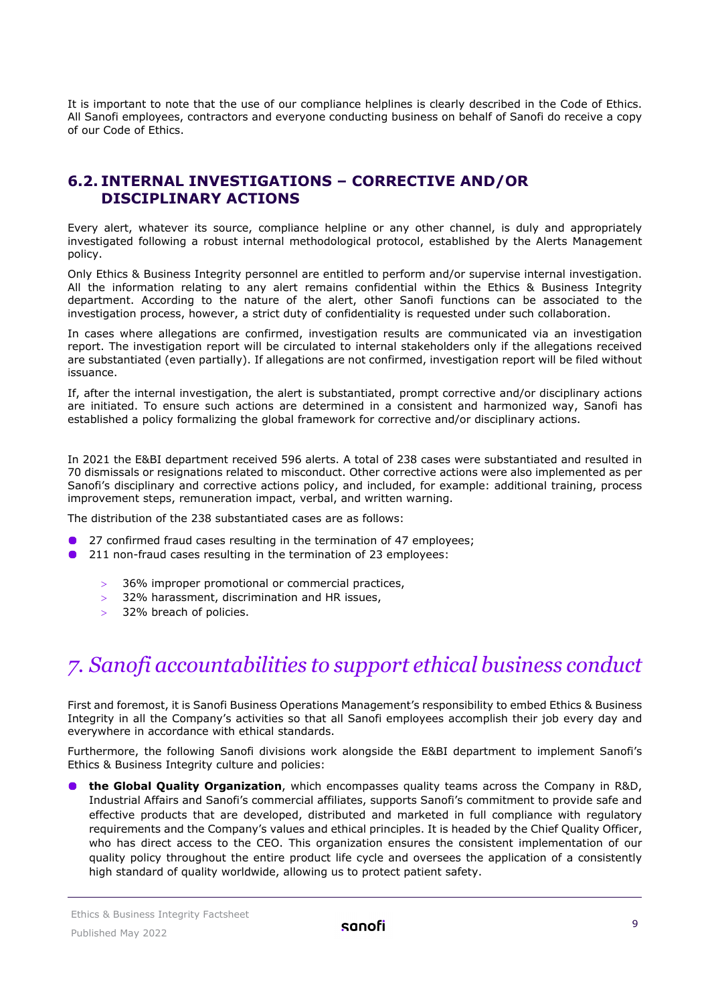It is important to note that the use of our compliance helplines is clearly described in the Code of Ethics. All Sanofi employees, contractors and everyone conducting business on behalf of Sanofi do receive a copy of our Code of Ethics.

#### <span id="page-8-0"></span>**6.2. INTERNAL INVESTIGATIONS – CORRECTIVE AND/OR DISCIPLINARY ACTIONS**

Every alert, whatever its source, compliance helpline or any other channel, is duly and appropriately investigated following a robust internal methodological protocol, established by the Alerts Management policy.

Only Ethics & Business Integrity personnel are entitled to perform and/or supervise internal investigation. All the information relating to any alert remains confidential within the Ethics & Business Integrity department. According to the nature of the alert, other Sanofi functions can be associated to the investigation process, however, a strict duty of confidentiality is requested under such collaboration.

In cases where allegations are confirmed, investigation results are communicated via an investigation report. The investigation report will be circulated to internal stakeholders only if the allegations received are substantiated (even partially). If allegations are not confirmed, investigation report will be filed without issuance.

If, after the internal investigation, the alert is substantiated, prompt corrective and/or disciplinary actions are initiated. To ensure such actions are determined in a consistent and harmonized way, Sanofi has established a policy formalizing the global framework for corrective and/or disciplinary actions.

In 2021 the E&BI department received 596 alerts. A total of 238 cases were substantiated and resulted in 70 dismissals or resignations related to misconduct. Other corrective actions were also implemented as per Sanofi's disciplinary and corrective actions policy, and included, for example: additional training, process improvement steps, remuneration impact, verbal, and written warning.

The distribution of the 238 substantiated cases are as follows:

- 27 confirmed fraud cases resulting in the termination of 47 employees;
- **0** 211 non-fraud cases resulting in the termination of 23 employees:
	- > 36% improper promotional or commercial practices,
	- > 32% harassment, discrimination and HR issues,
	- 32% breach of policies.

## <span id="page-8-1"></span>*7. Sanofi accountabilities to support ethical business conduct*

First and foremost, it is Sanofi Business Operations Management's responsibility to embed Ethics & Business Integrity in all the Company's activities so that all Sanofi employees accomplish their job every day and everywhere in accordance with ethical standards.

Furthermore, the following Sanofi divisions work alongside the E&BI department to implement Sanofi's Ethics & Business Integrity culture and policies:

**the Global Quality Organization**, which encompasses quality teams across the Company in R&D, Industrial Affairs and Sanofi's commercial affiliates, supports Sanofi's commitment to provide safe and effective products that are developed, distributed and marketed in full compliance with regulatory requirements and the Company's values and ethical principles. It is headed by the Chief Quality Officer, who has direct access to the CEO. This organization ensures the consistent implementation of our quality policy throughout the entire product life cycle and oversees the application of a consistently high standard of quality worldwide, allowing us to protect patient safety.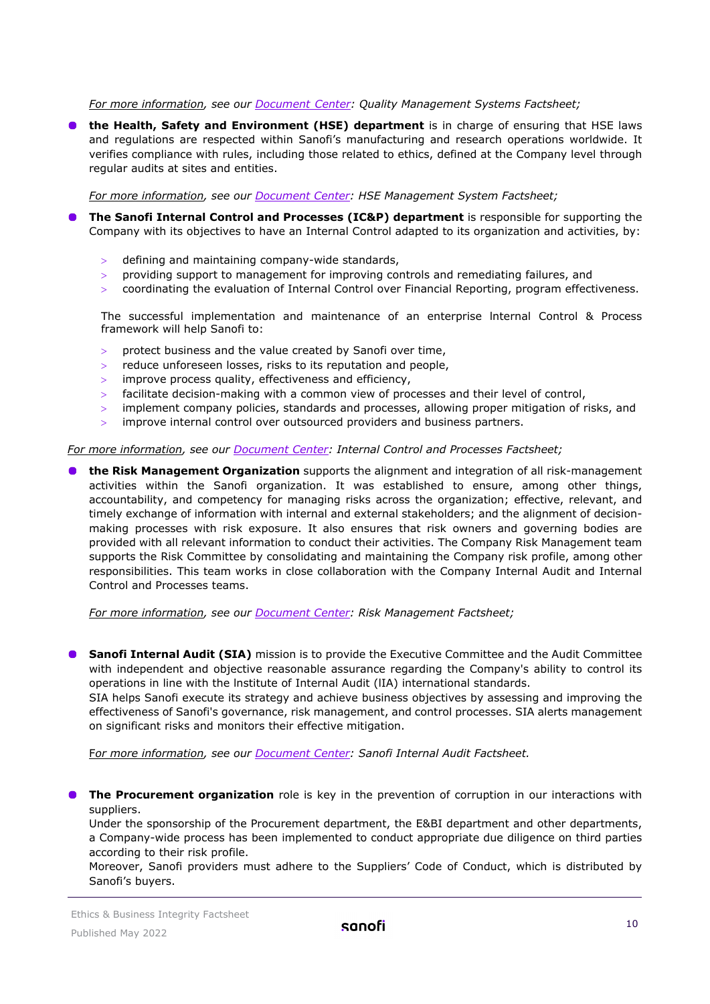*For more information, see our [Document](https://www.sanofi.com/en/our-responsibility/documents-center/) Center: Quality Management Systems Factsheet;*

**The Health, Safety and Environment (HSE) department** is in charge of ensuring that HSE laws and regulations are respected within Sanofi's manufacturing and research operations worldwide. It verifies compliance with rules, including those related to ethics, defined at the Company level through regular audits at sites and entities.

*For more information, see our [Document](https://www.sanofi.com/en/our-responsibility/documents-center/) Center: HSE Management System Factsheet;*

- **The Sanofi Internal Control and Processes (IC&P) department** is responsible for supporting the Company with its objectives to have an Internal Control adapted to its organization and activities, by:
	- > defining and maintaining company-wide standards,
	- $>$  providing support to management for improving controls and remediating failures, and
	- $>$  coordinating the evaluation of Internal Control over Financial Reporting, program effectiveness.

The successful implementation and maintenance of an enterprise lnternal Control & Process framework will help Sanofi to:

- protect business and the value created by Sanofi over time,
- > reduce unforeseen losses, risks to its reputation and people,
- improve process quality, effectiveness and efficiency,
- facilitate decision-making with a common view of processes and their level of control,
- > implement company policies, standards and processes, allowing proper mitigation of risks, and
- > improve internal control over outsourced providers and business partners.

#### *For more information, see our [Document Center:](https://www.sanofi.com/en/our-responsibility/documents-center/) Internal Control and Processes Factsheet;*

**the Risk Management Organization** supports the alignment and integration of all risk-management activities within the Sanofi organization. It was established to ensure, among other things, accountability, and competency for managing risks across the organization; effective, relevant, and timely exchange of information with internal and external stakeholders; and the alignment of decisionmaking processes with risk exposure. It also ensures that risk owners and governing bodies are provided with all relevant information to conduct their activities. The Company Risk Management team supports the Risk Committee by consolidating and maintaining the Company risk profile, among other responsibilities. This team works in close collaboration with the Company Internal Audit and Internal Control and Processes teams.

*For more information, see our [Document Center:](https://www.sanofi.com/en/our-responsibility/documents-center/) Risk Management Factsheet;*

**Sanofi Internal Audit (SIA)** mission is to provide the Executive Committee and the Audit Committee with independent and objective reasonable assurance regarding the Company's ability to control its operations in line with the lnstitute of Internal Audit (lIA) international standards.

SIA helps Sanofi execute its strategy and achieve business objectives by assessing and improving the effectiveness of Sanofi's governance, risk management, and control processes. SIA alerts management on significant risks and monitors their effective mitigation.

F*or more information, see our [Document Center:](https://www.sanofi.com/en/our-responsibility/documents-center/) Sanofi Internal Audit Factsheet.*

**The Procurement organization** role is key in the prevention of corruption in our interactions with suppliers.

Under the sponsorship of the Procurement department, the E&BI department and other departments, a Company-wide process has been implemented to conduct appropriate due diligence on third parties according to their risk profile.

Moreover, Sanofi providers must adhere to the Suppliers' Code of Conduct, which is distributed by Sanofi's buyers.